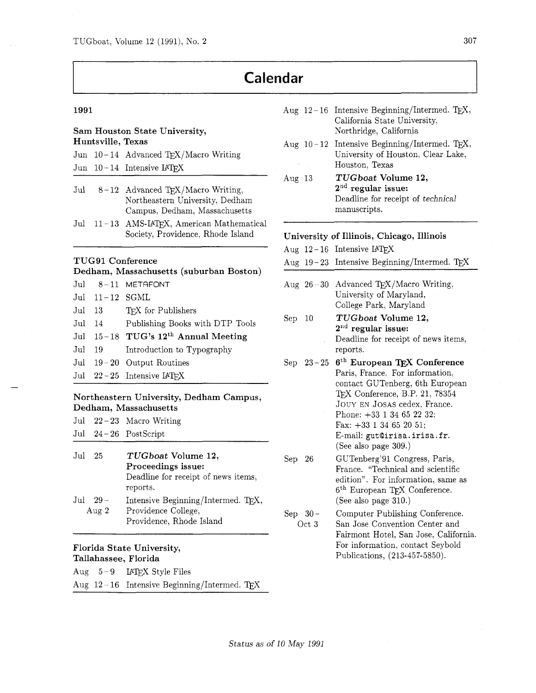## **Calendar**

1991

#### Sam Houston State University, Huntsville, Texas

|  | Jun $10-14$ Advanced TEX/Macro Writing                |
|--|-------------------------------------------------------|
|  | $\text{Jun} \quad 10-14 \quad \text{Intensive L4TFX}$ |

- Jul  $8-12$  Advanced TFX/Macro Writing, Northeastern University, Dedham Campus, Dedham, Massachusetts
- Jul 11-13 AMS-IATFX, American Mathematical Society, Providence, Rhode Island

#### TUG91 Conference

| Dedham, Massachusetts (suburban Boston) |                  |                                                 |  |
|-----------------------------------------|------------------|-------------------------------------------------|--|
|                                         |                  | $Jul$ $8-11$ METAFONT                           |  |
|                                         | Jul $11-12$ SGML |                                                 |  |
|                                         |                  | Jul 13 TFX for Publishers                       |  |
|                                         |                  | Jul 14 Publishing Books with DTP Tools          |  |
|                                         |                  | Jul 15-18 TUG's 12 <sup>th</sup> Annual Meeting |  |
| $_{\mathrm{Jul}}$                       |                  | 19 Introduction to Typography                   |  |
|                                         |                  | Jul $19-20$ Output Routines                     |  |
|                                         |                  | Jul $22-25$ Intensive $IATFX$                   |  |

#### Northeastern University, Dedham Campus, Dedham, Massachusetts

|  | Jul $22-23$ Macro Writing |
|--|---------------------------|
|  | Jul $24-26$ PostScript    |

Jul 25 TUGboat Volume 12, Proceedings issue: Deadline for receipt of news items, reports. Jul 29 - Intensive Beginning/Intermed. T<sub>E</sub>X,<br>Aug 2 - Providence College, Providence College, Providence, Rhode Island

# Florida State University,

| Tallahassee, Florida |  |                                               |  |  |
|----------------------|--|-----------------------------------------------|--|--|
|                      |  | Aug 5-9 LATFX Style Files                     |  |  |
|                      |  | Aug $12-16$ Intensive Beginning/Intermed. TFX |  |  |

### Aug  $12-16$  Intensive Beginning/Intermed. T<sub>E</sub>X, Aug  $10-12$  Intensive Beginning/Intermed. T<sub>E</sub>X, Aug 13 California State University, Northridge, California University of Houston, Clear Lake, Houston, Texas TUGboat Volume 12,  $2<sup>nd</sup>$  regular issue: Deadline for receipt of technical manuscripts. University of Illinois, Chicago, Illinois Aug  $12-16$  Intensive IATEX Aug  $19-23$  Intensive Beginning/Intermed. TEX Aug  $26-30$  Advanced T<sub>E</sub>X/Macro Writing, Sep 10  $Sep \; 23-25 \; 6^{th} \; European \; TEX \; Conference$ University of Maryland, College Park. Maryland TUGboat Volume 12,  $2<sup>nd</sup>$  regular issue: Deadline for receipt of news items, reports. Paris, France. For information, contact GUTenberg, 6th European Conference, B.P. 21. 78354 JOUY EN JOSAS cedex, France. Phone: +33 1 34 65 22 32; Fax: +33 1 34 65 20 51;

- E-mail: gut@irisa.irisa.fr. (See also page 309.) GUTenberg.91 Congress, Paris,
- Sep 26 fiance. "Technical and scientific edition". For information, same as 6th European TEX Conference. (See also page 310.)
- Sep  $30-$ Oct **3**  Computer Publishing Conference. San Jose Convention Center and Fairmont Hotel, San Jose, California. For information, contact Seybold Publications, (213-457-5850).